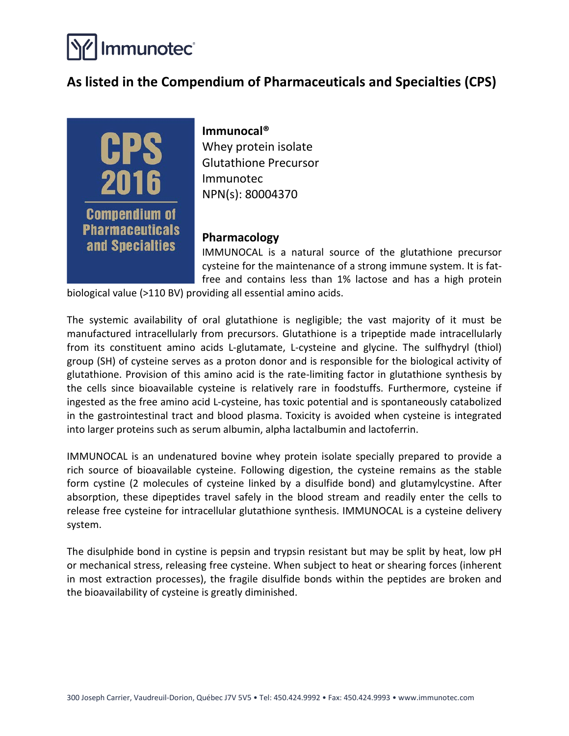

# **As listed in the Compendium of Pharmaceuticals and Specialties (CPS)**



### **Immunocal®**

Whey protein isolate Glutathione Precursor Immunotec NPN(s): 80004370

### **Pharmacology**

IMMUNOCAL is a natural source of the glutathione precursor cysteine for the maintenance of a strong immune system. It is fatfree and contains less than 1% lactose and has a high protein

biological value (>110 BV) providing all essential amino acids.

The systemic availability of oral glutathione is negligible; the vast majority of it must be manufactured intracellularly from precursors. Glutathione is a tripeptide made intracellularly from its constituent amino acids L-glutamate, L-cysteine and glycine. The sulfhydryl (thiol) group (SH) of cysteine serves as a proton donor and is responsible for the biological activity of glutathione. Provision of this amino acid is the rate-limiting factor in glutathione synthesis by the cells since bioavailable cysteine is relatively rare in foodstuffs. Furthermore, cysteine if ingested as the free amino acid L-cysteine, has toxic potential and is spontaneously catabolized in the gastrointestinal tract and blood plasma. Toxicity is avoided when cysteine is integrated into larger proteins such as serum albumin, alpha lactalbumin and lactoferrin.

IMMUNOCAL is an undenatured bovine whey protein isolate specially prepared to provide a rich source of bioavailable cysteine. Following digestion, the cysteine remains as the stable form cystine (2 molecules of cysteine linked by a disulfide bond) and glutamylcystine. After absorption, these dipeptides travel safely in the blood stream and readily enter the cells to release free cysteine for intracellular glutathione synthesis. IMMUNOCAL is a cysteine delivery system.

The disulphide bond in cystine is pepsin and trypsin resistant but may be split by heat, low pH or mechanical stress, releasing free cysteine. When subject to heat or shearing forces (inherent in most extraction processes), the fragile disulfide bonds within the peptides are broken and the bioavailability of cysteine is greatly diminished.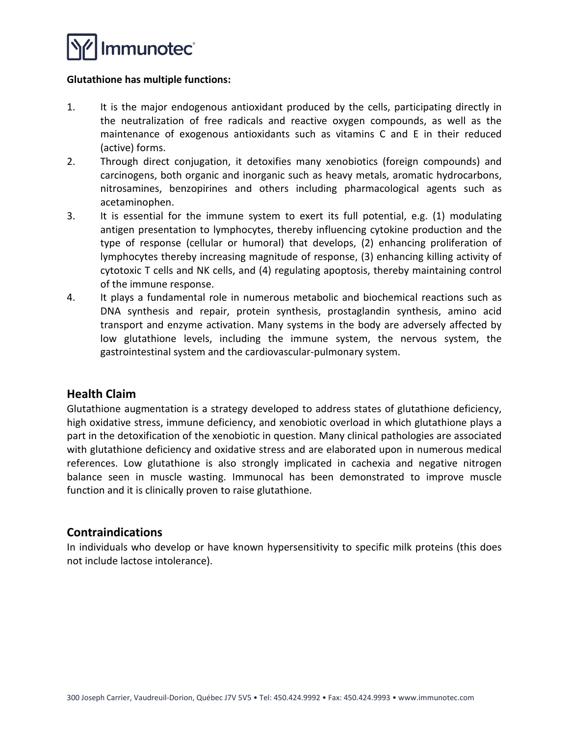

#### **Glutathione has multiple functions:**

- 1. It is the major endogenous antioxidant produced by the cells, participating directly in the neutralization of free radicals and reactive oxygen compounds, as well as the maintenance of exogenous antioxidants such as vitamins C and E in their reduced (active) forms.
- 2. Through direct conjugation, it detoxifies many xenobiotics (foreign compounds) and carcinogens, both organic and inorganic such as heavy metals, aromatic hydrocarbons, nitrosamines, benzopirines and others including pharmacological agents such as acetaminophen.
- 3. It is essential for the immune system to exert its full potential, e.g. (1) modulating antigen presentation to lymphocytes, thereby influencing cytokine production and the type of response (cellular or humoral) that develops, (2) enhancing proliferation of lymphocytes thereby increasing magnitude of response, (3) enhancing killing activity of cytotoxic T cells and NK cells, and (4) regulating apoptosis, thereby maintaining control of the immune response.
- 4. It plays a fundamental role in numerous metabolic and biochemical reactions such as DNA synthesis and repair, protein synthesis, prostaglandin synthesis, amino acid transport and enzyme activation. Many systems in the body are adversely affected by low glutathione levels, including the immune system, the nervous system, the gastrointestinal system and the cardiovascular-pulmonary system.

# **Health Claim**

Glutathione augmentation is a strategy developed to address states of glutathione deficiency, high oxidative stress, immune deficiency, and xenobiotic overload in which glutathione plays a part in the detoxification of the xenobiotic in question. Many clinical pathologies are associated with glutathione deficiency and oxidative stress and are elaborated upon in numerous medical references. Low glutathione is also strongly implicated in cachexia and negative nitrogen balance seen in muscle wasting. Immunocal has been demonstrated to improve muscle function and it is clinically proven to raise glutathione.

# **Contraindications**

In individuals who develop or have known hypersensitivity to specific milk proteins (this does not include lactose intolerance).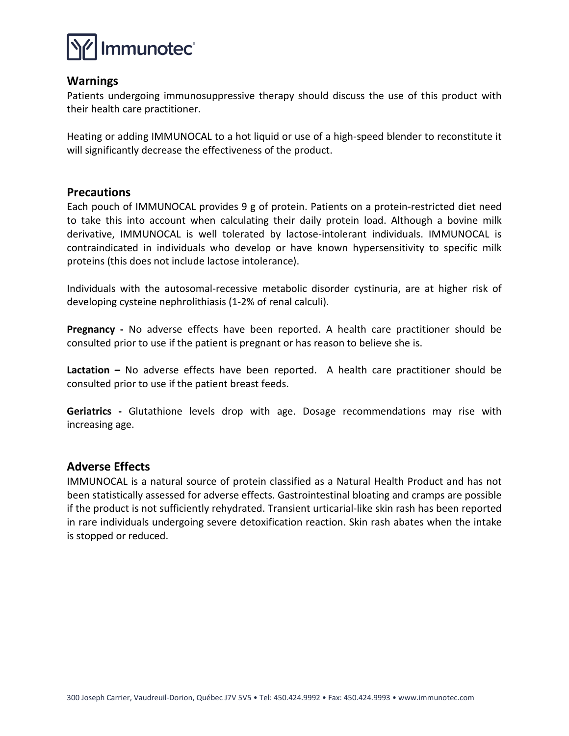

# **Warnings**

Patients undergoing immunosuppressive therapy should discuss the use of this product with their health care practitioner.

Heating or adding IMMUNOCAL to a hot liquid or use of a high-speed blender to reconstitute it will significantly decrease the effectiveness of the product.

#### **Precautions**

Each pouch of IMMUNOCAL provides 9 g of protein. Patients on a protein-restricted diet need to take this into account when calculating their daily protein load. Although a bovine milk derivative, IMMUNOCAL is well tolerated by lactose-intolerant individuals. IMMUNOCAL is contraindicated in individuals who develop or have known hypersensitivity to specific milk proteins (this does not include lactose intolerance).

Individuals with the autosomal-recessive metabolic disorder cystinuria, are at higher risk of developing cysteine nephrolithiasis (1-2% of renal calculi).

**Pregnancy -** No adverse effects have been reported. A health care practitioner should be consulted prior to use if the patient is pregnant or has reason to believe she is.

**Lactation –** No adverse effects have been reported. A health care practitioner should be consulted prior to use if the patient breast feeds.

**Geriatrics -** Glutathione levels drop with age. Dosage recommendations may rise with increasing age.

# **Adverse Effects**

IMMUNOCAL is a natural source of protein classified as a Natural Health Product and has not been statistically assessed for adverse effects. Gastrointestinal bloating and cramps are possible if the product is not sufficiently rehydrated. Transient urticarial-like skin rash has been reported in rare individuals undergoing severe detoxification reaction. Skin rash abates when the intake is stopped or reduced.